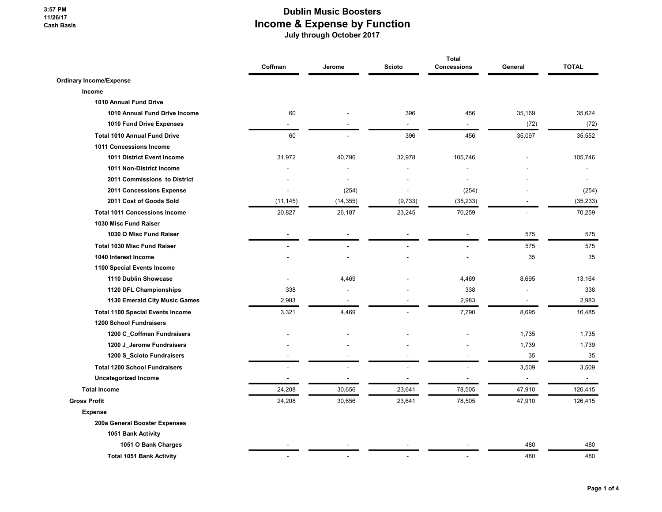## Dublin Music Boosters Income & Expense by Function

July through October 2017

|                                         | Coffman   | Jerome    | Scioto  | <b>Total</b><br>Concessions | General                  | <b>TOTAL</b>             |
|-----------------------------------------|-----------|-----------|---------|-----------------------------|--------------------------|--------------------------|
| <b>Ordinary Income/Expense</b>          |           |           |         |                             |                          |                          |
| Income                                  |           |           |         |                             |                          |                          |
| 1010 Annual Fund Drive                  |           |           |         |                             |                          |                          |
| 1010 Annual Fund Drive Income           | 60        |           | 396     | 456                         | 35,169                   | 35,624                   |
| 1010 Fund Drive Expenses                |           |           | ä,      |                             | (72)                     | (72)                     |
| <b>Total 1010 Annual Fund Drive</b>     | 60        |           | 396     | 456                         | 35,097                   | 35,552                   |
| 1011 Concessions Income                 |           |           |         |                             |                          |                          |
| 1011 District Event Income              | 31,972    | 40,796    | 32,978  | 105,746                     |                          | 105,746                  |
| 1011 Non-District Income                |           |           |         | $\blacksquare$              |                          |                          |
| 2011 Commissions to District            |           |           |         |                             |                          |                          |
| 2011 Concessions Expense                |           | (254)     |         | (254)                       |                          | (254)                    |
| 2011 Cost of Goods Sold                 | (11, 145) | (14, 355) | (9,733) | (35, 233)                   |                          | (35, 233)                |
| <b>Total 1011 Concessions Income</b>    | 20,827    | 26,187    | 23,245  | 70,259                      |                          | 70,259                   |
| 1030 Misc Fund Raiser                   |           |           |         |                             |                          |                          |
| 1030 O Misc Fund Raiser                 |           |           |         |                             | 575                      | 575                      |
| <b>Total 1030 Misc Fund Raiser</b>      |           |           |         |                             | 575                      | 575                      |
| 1040 Interest Income                    |           |           |         |                             | 35                       | 35                       |
| 1100 Special Events Income              |           |           |         |                             |                          |                          |
| 1110 Dublin Showcase                    |           | 4,469     |         | 4,469                       | 8,695                    | 13,164                   |
| 1120 DFL Championships                  | 338       |           |         | 338                         |                          | 338                      |
| 1130 Emerald City Music Games           | 2,983     |           |         | 2,983                       | $\overline{\phantom{a}}$ | 2,983                    |
| <b>Total 1100 Special Events Income</b> | 3,321     | 4,469     |         | 7,790                       | 8,695                    | 16,485                   |
| <b>1200 School Fundraisers</b>          |           |           |         |                             |                          |                          |
| 1200 C_Coffman Fundraisers              |           |           |         |                             | 1,735                    | 1,735                    |
| 1200 J_Jerome Fundraisers               |           |           |         |                             | 1,739                    | 1,739                    |
| 1200 S_Scioto Fundraisers               |           |           |         |                             | 35                       | 35                       |
| <b>Total 1200 School Fundraisers</b>    |           |           |         |                             | 3,509                    | 3,509                    |
| <b>Uncategorized Income</b>             |           |           |         |                             | $\blacksquare$           | $\overline{\phantom{a}}$ |
| <b>Total Income</b>                     | 24,208    | 30,656    | 23,641  | 78,505                      | 47,910                   | 126,415                  |
| <b>Gross Profit</b>                     | 24,208    | 30,656    | 23,641  | 78,505                      | 47,910                   | 126,415                  |
| <b>Expense</b>                          |           |           |         |                             |                          |                          |
| 200a General Booster Expenses           |           |           |         |                             |                          |                          |
| 1051 Bank Activity                      |           |           |         |                             |                          |                          |
| 1051 O Bank Charges                     |           |           |         |                             | 480                      | 480                      |
| <b>Total 1051 Bank Activity</b>         |           |           |         |                             | 480                      | 480                      |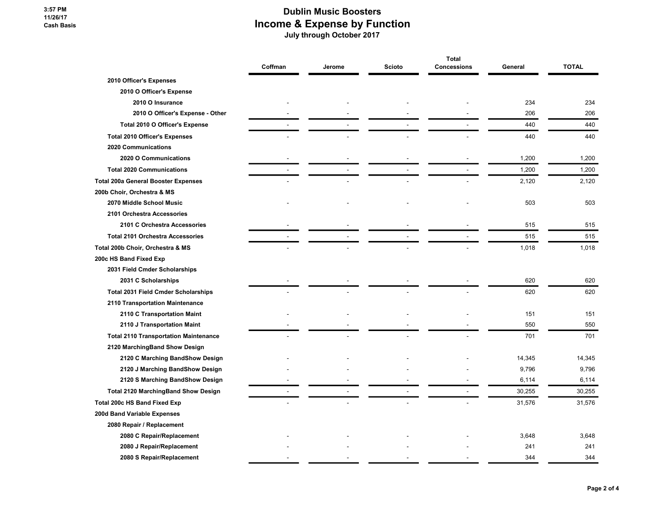## Dublin Music Boosters Income & Expense by Function July through October 2017

|                                              | Coffman | Jerome | Scioto | <b>Total</b><br>Concessions | General | <b>TOTAL</b> |
|----------------------------------------------|---------|--------|--------|-----------------------------|---------|--------------|
|                                              |         |        |        |                             |         |              |
| 2010 Officer's Expenses                      |         |        |        |                             |         |              |
| 2010 O Officer's Expense                     |         |        |        |                             |         |              |
| 2010 O Insurance                             |         |        |        |                             | 234     | 234          |
| 2010 O Officer's Expense - Other             |         |        |        |                             | 206     | 206          |
| Total 2010 O Officer's Expense               |         |        |        |                             | 440     | 440          |
| <b>Total 2010 Officer's Expenses</b>         |         |        |        |                             | 440     | 440          |
| 2020 Communications                          |         |        |        |                             |         |              |
| 2020 O Communications                        |         |        |        |                             | 1,200   | 1,200        |
| <b>Total 2020 Communications</b>             |         |        |        |                             | 1,200   | 1,200        |
| <b>Total 200a General Booster Expenses</b>   |         |        |        |                             | 2,120   | 2,120        |
| 200b Choir, Orchestra & MS                   |         |        |        |                             |         |              |
| 2070 Middle School Music                     |         |        |        |                             | 503     | 503          |
| 2101 Orchestra Accessories                   |         |        |        |                             |         |              |
| 2101 C Orchestra Accessories                 |         |        |        |                             | 515     | 515          |
| <b>Total 2101 Orchestra Accessories</b>      |         |        |        |                             | 515     | 515          |
| Total 200b Choir, Orchestra & MS             |         |        |        |                             | 1,018   | 1,018        |
| 200c HS Band Fixed Exp                       |         |        |        |                             |         |              |
| 2031 Field Cmder Scholarships                |         |        |        |                             |         |              |
| 2031 C Scholarships                          |         |        |        |                             | 620     | 620          |
| <b>Total 2031 Field Cmder Scholarships</b>   |         |        |        |                             | 620     | 620          |
| 2110 Transportation Maintenance              |         |        |        |                             |         |              |
| 2110 C Transportation Maint                  |         |        |        |                             | 151     | 151          |
| 2110 J Transportation Maint                  |         |        |        |                             | 550     | 550          |
| <b>Total 2110 Transportation Maintenance</b> |         |        |        |                             | 701     | 701          |
| 2120 MarchingBand Show Design                |         |        |        |                             |         |              |
| 2120 C Marching BandShow Design              |         |        |        |                             | 14,345  | 14,345       |
| 2120 J Marching BandShow Design              |         |        |        |                             | 9,796   | 9,796        |
| 2120 S Marching BandShow Design              |         |        |        |                             | 6,114   | 6,114        |
| <b>Total 2120 MarchingBand Show Design</b>   |         |        |        |                             | 30,255  | 30,255       |
| <b>Total 200c HS Band Fixed Exp</b>          |         |        |        |                             | 31,576  | 31,576       |
| 200d Band Variable Expenses                  |         |        |        |                             |         |              |
| 2080 Repair / Replacement                    |         |        |        |                             |         |              |
| 2080 C Repair/Replacement                    |         |        |        |                             | 3,648   | 3,648        |
| 2080 J Repair/Replacement                    |         |        |        |                             | 241     | 241          |
| 2080 S Repair/Replacement                    |         |        |        |                             | 344     | 344          |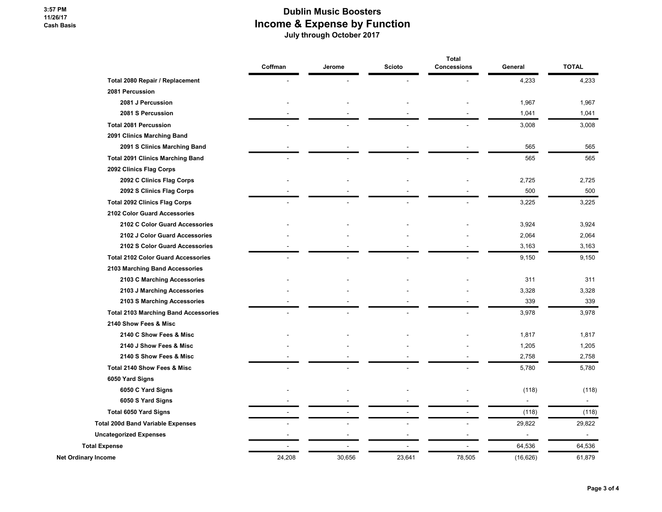## Dublin Music Boosters Income & Expense by Function July through October 2017

|                                             |         |        |               | <b>Total</b>       |                          |                |
|---------------------------------------------|---------|--------|---------------|--------------------|--------------------------|----------------|
|                                             | Coffman | Jerome | <b>Scioto</b> | <b>Concessions</b> | General                  | <b>TOTAL</b>   |
| Total 2080 Repair / Replacement             |         |        |               |                    | 4,233                    | 4,233          |
| 2081 Percussion                             |         |        |               |                    |                          |                |
| 2081 J Percussion                           |         |        |               |                    | 1,967                    | 1,967          |
| 2081 S Percussion                           |         |        |               |                    | 1,041                    | 1,041          |
| <b>Total 2081 Percussion</b>                |         |        |               |                    | 3,008                    | 3,008          |
| 2091 Clinics Marching Band                  |         |        |               |                    |                          |                |
| 2091 S Clinics Marching Band                |         |        |               |                    | 565                      | 565            |
| <b>Total 2091 Clinics Marching Band</b>     |         |        |               |                    | 565                      | 565            |
| 2092 Clinics Flag Corps                     |         |        |               |                    |                          |                |
| 2092 C Clinics Flag Corps                   |         |        |               |                    | 2,725                    | 2,725          |
| 2092 S Clinics Flag Corps                   |         |        |               |                    | 500                      | 500            |
| <b>Total 2092 Clinics Flag Corps</b>        |         |        |               |                    | 3,225                    | 3,225          |
| 2102 Color Guard Accessories                |         |        |               |                    |                          |                |
| 2102 C Color Guard Accessories              |         |        |               |                    | 3,924                    | 3,924          |
| 2102 J Color Guard Accessories              |         |        |               |                    | 2,064                    | 2,064          |
| 2102 S Color Guard Accessories              |         |        |               |                    | 3,163                    | 3,163          |
| <b>Total 2102 Color Guard Accessories</b>   |         |        |               |                    | 9,150                    | 9,150          |
| 2103 Marching Band Accessories              |         |        |               |                    |                          |                |
| 2103 C Marching Accessories                 |         |        |               |                    | 311                      | 311            |
| 2103 J Marching Accessories                 |         |        |               |                    | 3,328                    | 3,328          |
| 2103 S Marching Accessories                 |         |        |               |                    | 339                      | 339            |
| <b>Total 2103 Marching Band Accessories</b> |         |        |               |                    | 3,978                    | 3,978          |
| 2140 Show Fees & Misc                       |         |        |               |                    |                          |                |
| 2140 C Show Fees & Misc                     |         |        |               |                    | 1,817                    | 1,817          |
| 2140 J Show Fees & Misc                     |         |        |               |                    | 1,205                    | 1,205          |
| 2140 S Show Fees & Misc                     |         |        |               |                    | 2,758                    | 2,758          |
| Total 2140 Show Fees & Misc                 |         |        |               |                    | 5,780                    | 5,780          |
| 6050 Yard Signs                             |         |        |               |                    |                          |                |
| 6050 C Yard Signs                           |         |        |               |                    | (118)                    | (118)          |
| 6050 S Yard Signs                           |         |        |               |                    | $\overline{a}$           | $\blacksquare$ |
| <b>Total 6050 Yard Signs</b>                |         |        |               |                    | (118)                    | (118)          |
| <b>Total 200d Band Variable Expenses</b>    |         |        |               |                    | 29,822                   | 29,822         |
| <b>Uncategorized Expenses</b>               |         |        |               |                    | $\overline{\phantom{a}}$ | $\sim$         |
| <b>Total Expense</b>                        |         |        |               |                    | 64,536                   | 64,536         |
| Net Ordinary Income                         | 24,208  | 30,656 | 23,641        | 78,505             | (16, 626)                | 61,879         |